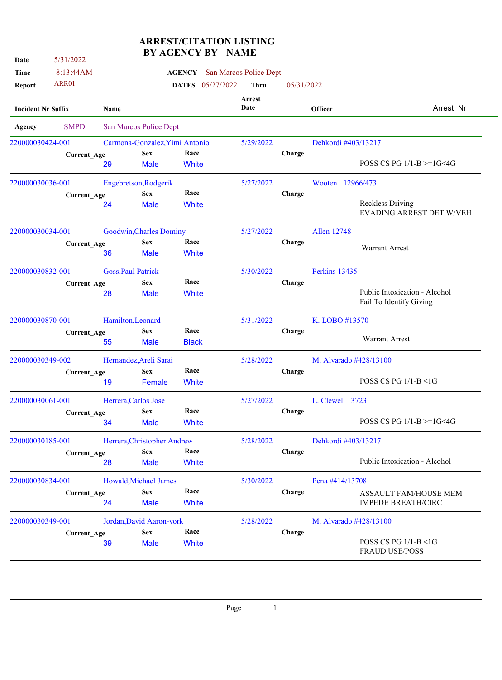## **ARREST/CITATION LISTING BY AGENCY BY NAME**

| Date                      | 5/31/2022          |                           |                                | JLIVI DI     |                         |                                      |                |                        |                                                          |
|---------------------------|--------------------|---------------------------|--------------------------------|--------------|-------------------------|--------------------------------------|----------------|------------------------|----------------------------------------------------------|
| Time                      | 8:13:44AM          |                           |                                |              |                         | <b>AGENCY</b> San Marcos Police Dept |                |                        |                                                          |
| <b>Report</b>             | ARR01              |                           |                                |              | <b>DATES</b> 05/27/2022 | <b>Thru</b>                          | 05/31/2022     |                        |                                                          |
| <b>Incident Nr Suffix</b> |                    | Name                      |                                |              |                         | <b>Arrest</b><br>Date                | <b>Officer</b> |                        | Arrest Nr                                                |
| Agency                    | <b>SMPD</b>        |                           | San Marcos Police Dept         |              |                         |                                      |                |                        |                                                          |
| 220000030424-001          |                    |                           | Carmona-Gonzalez, Yimi Antonio |              |                         | 5/29/2022                            |                | Dehkordi #403/13217    |                                                          |
|                           | Current_Age        |                           | <b>Sex</b>                     | Race         |                         |                                      | Charge         |                        |                                                          |
|                           |                    | 29                        | <b>Male</b>                    | White        |                         |                                      |                |                        | POSS CS PG $1/1-B = 1G < 4G$                             |
| 220000030036-001          |                    |                           | Engebretson, Rodgerik          |              |                         | 5/27/2022                            |                | Wooten 12966/473       |                                                          |
|                           | <b>Current Age</b> |                           | <b>Sex</b>                     | Race         |                         |                                      | Charge         |                        |                                                          |
|                           |                    | 24                        | <b>Male</b>                    | White        |                         |                                      |                |                        | <b>Reckless Driving</b><br>EVADING ARREST DET W/VEH      |
| 220000030034-001          |                    |                           | Goodwin, Charles Dominy        |              |                         | 5/27/2022                            |                | Allen 12748            |                                                          |
|                           |                    |                           | <b>Sex</b>                     | Race         |                         |                                      | Charge         |                        |                                                          |
|                           | Current_Age        | 36                        | <b>Male</b>                    | White        |                         |                                      |                |                        | <b>Warrant Arrest</b>                                    |
| 220000030832-001          |                    | <b>Goss, Paul Patrick</b> |                                |              |                         | 5/30/2022                            |                | Perkins 13435          |                                                          |
|                           | <b>Current Age</b> |                           | <b>Sex</b>                     | Race         |                         |                                      | Charge         |                        |                                                          |
|                           |                    | 28                        | Male                           | White        |                         |                                      |                |                        | Public Intoxication - Alcohol<br>Fail To Identify Giving |
| 220000030870-001          |                    | Hamilton, Leonard         |                                |              |                         | 5/31/2022                            |                | K. LOBO #13570         |                                                          |
|                           | <b>Current Age</b> |                           | <b>Sex</b>                     | Race         |                         |                                      | Charge         |                        |                                                          |
|                           |                    | 55                        | <b>Male</b>                    | <b>Black</b> |                         |                                      |                |                        | <b>Warrant Arrest</b>                                    |
| 220000030349-002          |                    |                           | Hernandez, Areli Sarai         |              |                         | 5/28/2022                            |                | M. Alvarado #428/13100 |                                                          |
|                           | <b>Current Age</b> |                           | <b>Sex</b>                     | Race         |                         |                                      | Charge         |                        |                                                          |
|                           |                    | 19                        | Female                         | White        |                         |                                      |                |                        | POSS CS PG 1/1-B <1G                                     |
| 220000030061-001          |                    | Herrera, Carlos Jose      |                                |              |                         | 5/27/2022                            |                | L. Clewell 13723       |                                                          |
|                           | <b>Current_Age</b> |                           | <b>Sex</b>                     | Race         |                         |                                      | Charge         |                        |                                                          |
|                           |                    | 34                        | <b>Male</b>                    | White        |                         |                                      |                |                        | POSS CS PG $1/1-B$ >=1G<4G                               |
| 220000030185-001          |                    |                           | Herrera, Christopher Andrew    |              |                         | 5/28/2022                            |                | Dehkordi #403/13217    |                                                          |
|                           | <b>Current_Age</b> |                           | <b>Sex</b>                     | Race         |                         |                                      | Charge         |                        |                                                          |
|                           |                    | 28                        | <b>Male</b>                    | White        |                         |                                      |                |                        | Public Intoxication - Alcohol                            |
| 220000030834-001          |                    |                           | Howald, Michael James          |              |                         | 5/30/2022                            |                | Pena #414/13708        |                                                          |
|                           | Current_Age        |                           | <b>Sex</b>                     | Race         |                         |                                      | Charge         |                        | ASSAULT FAM/HOUSE MEM                                    |
|                           |                    | 24                        | <b>Male</b>                    | White        |                         |                                      |                |                        | <b>IMPEDE BREATH/CIRC</b>                                |
| 220000030349-001          |                    |                           | Jordan, David Aaron-york       |              |                         | 5/28/2022                            |                | M. Alvarado #428/13100 |                                                          |
|                           | <b>Current_Age</b> |                           | <b>Sex</b>                     | Race         |                         |                                      | Charge         |                        |                                                          |
|                           |                    | 39                        | <b>Male</b>                    | White        |                         |                                      |                |                        | POSS CS PG 1/1-B <1G<br><b>FRAUD USE/POSS</b>            |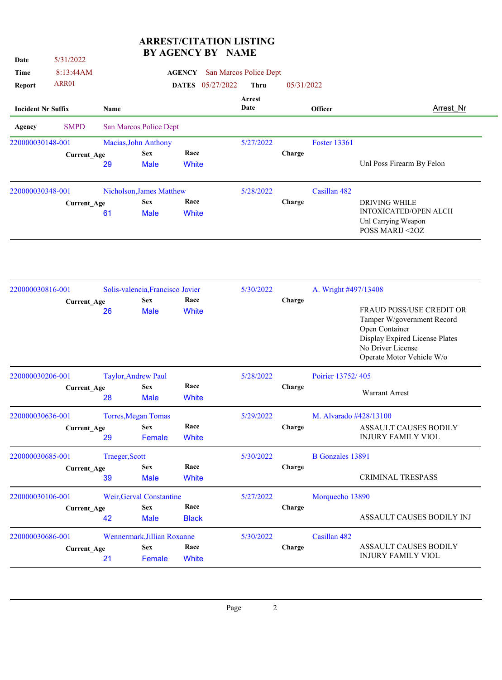## **ARREST/CITATION LISTING BY AGENCY BY NAME**

| Date                      | 5/31/2022          |                          | DI UARIJA I DI                                      |                      |                  | <b>TATTE</b>           |                |                         |                                                                                                                                                              |
|---------------------------|--------------------|--------------------------|-----------------------------------------------------|----------------------|------------------|------------------------|----------------|-------------------------|--------------------------------------------------------------------------------------------------------------------------------------------------------------|
| Time                      | 8:13:44AM          |                          |                                                     | <b>AGENCY</b>        |                  | San Marcos Police Dept |                |                         |                                                                                                                                                              |
| <b>Report</b>             | ARR01              |                          |                                                     |                      | DATES 05/27/2022 | Thru                   | 05/31/2022     |                         |                                                                                                                                                              |
| <b>Incident Nr Suffix</b> |                    | <b>Name</b>              |                                                     |                      |                  | Arrest<br>Date         | <b>Officer</b> |                         | Arrest Nr                                                                                                                                                    |
| <b>Agency</b>             | <b>SMPD</b>        |                          | San Marcos Police Dept                              |                      |                  |                        |                |                         |                                                                                                                                                              |
| 220000030148-001          |                    |                          | Macias, John Anthony                                |                      |                  | 5/27/2022              |                | <b>Foster 13361</b>     |                                                                                                                                                              |
|                           | Current_Age        | 29                       | <b>Sex</b><br><b>Male</b>                           | Race<br>White        |                  |                        | Charge         |                         | Unl Poss Firearm By Felon                                                                                                                                    |
| 220000030348-001          |                    |                          | Nicholson, James Matthew                            |                      |                  | 5/28/2022              |                | Casillan 482            |                                                                                                                                                              |
|                           | Current_Age        | 61                       | <b>Sex</b><br><b>Male</b>                           | Race<br>White        |                  |                        | Charge         |                         | <b>DRIVING WHILE</b><br>INTOXICATED/OPEN ALCH<br>Unl Carrying Weapon<br>POSS MARIJ <20Z                                                                      |
| 220000030816-001          | Current_Age        |                          | Solis-valencia, Francisco Javier<br><b>Sex</b>      | Race                 |                  | 5/30/2022              | Charge         | A. Wright #497/13408    |                                                                                                                                                              |
|                           |                    | 26                       | <b>Male</b>                                         | White                |                  |                        |                |                         | FRAUD POSS/USE CREDIT OR<br>Tamper W/government Record<br>Open Container<br>Display Expired License Plates<br>No Driver License<br>Operate Motor Vehicle W/o |
| 220000030206-001          |                    |                          | <b>Taylor, Andrew Paul</b>                          |                      |                  | 5/28/2022              |                | Poirier 13752/405       |                                                                                                                                                              |
|                           | Current_Age        | 28                       | <b>Sex</b><br><b>Male</b>                           | Race<br>White        |                  |                        | Charge         |                         | <b>Warrant Arrest</b>                                                                                                                                        |
| 220000030636-001          |                    |                          | <b>Torres, Megan Tomas</b>                          |                      |                  | 5/29/2022              |                | M. Alvarado #428/13100  |                                                                                                                                                              |
|                           | Current_Age        | 29                       | <b>Sex</b><br>Female                                | Race<br>White        |                  |                        | Charge         |                         | ASSAULT CAUSES BODILY<br><b>INJURY FAMILY VIOL</b>                                                                                                           |
| 220000030685-001          |                    | Traeger, Scott           |                                                     |                      |                  | 5/30/2022              |                | <b>B</b> Gonzales 13891 |                                                                                                                                                              |
|                           | <b>Current_Age</b> | 39                       | <b>Sex</b><br><b>Male</b>                           | Race<br>White        |                  |                        | Charge         |                         | CRIMINAL TRESPASS                                                                                                                                            |
| 220000030106-001          |                    | Weir, Gerval Constantine |                                                     |                      |                  | 5/27/2022              |                | Morquecho 13890         |                                                                                                                                                              |
|                           | <b>Current_Age</b> | 42                       | <b>Sex</b><br><b>Male</b>                           | Race<br><b>Black</b> |                  |                        | Charge         |                         | ASSAULT CAUSES BODILY INJ                                                                                                                                    |
| 220000030686-001          | <b>Current_Age</b> | 21                       | Wennermark, Jillian Roxanne<br><b>Sex</b><br>Female | Race<br>White        |                  | 5/30/2022              | Charge         | Casillan 482            | ASSAULT CAUSES BODILY<br><b>INJURY FAMILY VIOL</b>                                                                                                           |